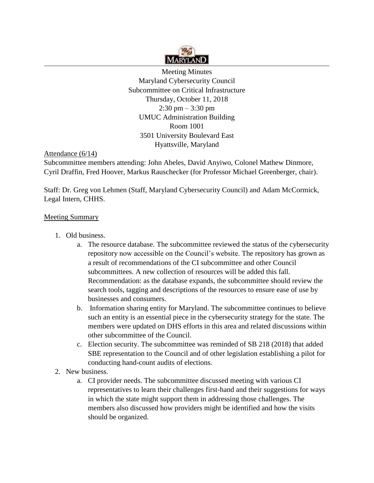

Meeting Minutes Maryland Cybersecurity Council Subcommittee on Critical Infrastructure Thursday, October 11, 2018 2:30 pm – 3:30 pm UMUC Administration Building Room 1001 3501 University Boulevard East Hyattsville, Maryland

Attendance (6/14)

Subcommittee members attending: John Abeles, David Anyiwo, Colonel Mathew Dinmore, Cyril Draffin, Fred Hoover, Markus Rauschecker (for Professor Michael Greenberger, chair).

Staff: Dr. Greg von Lehmen (Staff, Maryland Cybersecurity Council) and Adam McCormick, Legal Intern, CHHS.

## Meeting Summary

- 1. Old business.
	- a. The resource database. The subcommittee reviewed the status of the cybersecurity repository now accessible on the Council's website. The repository has grown as a result of recommendations of the CI subcommittee and other Council subcommittees. A new collection of resources will be added this fall. Recommendation: as the database expands, the subcommittee should review the search tools, tagging and descriptions of the resources to ensure ease of use by businesses and consumers.
	- b. Information sharing entity for Maryland. The subcommittee continues to believe such an entity is an essential piece in the cybersecurity strategy for the state. The members were updated on DHS efforts in this area and related discussions within other subcommittee of the Council.
	- c. Election security. The subcommittee was reminded of SB 218 (2018) that added SBE representation to the Council and of other legislation establishing a pilot for conducting hand-count audits of elections.
- 2. New business.
	- a. CI provider needs. The subcommittee discussed meeting with various CI representatives to learn their challenges first-hand and their suggestions for ways in which the state might support them in addressing those challenges. The members also discussed how providers might be identified and how the visits should be organized.